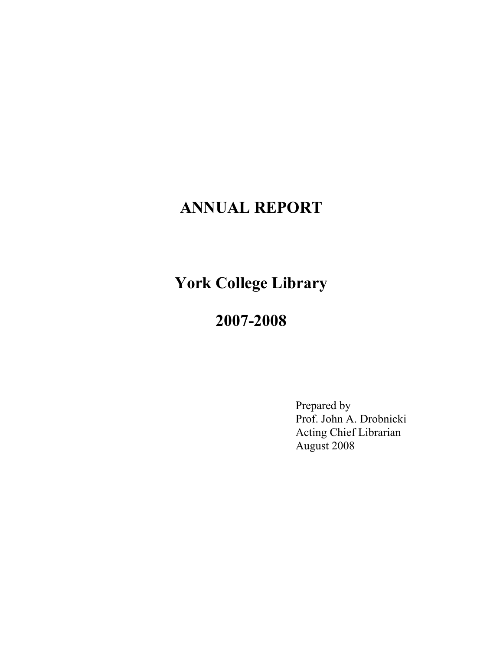# **ANNUAL REPORT**

**York College Library** 

## **2007-2008**

Prepared by Prof. John A. Drobnicki Acting Chief Librarian August 2008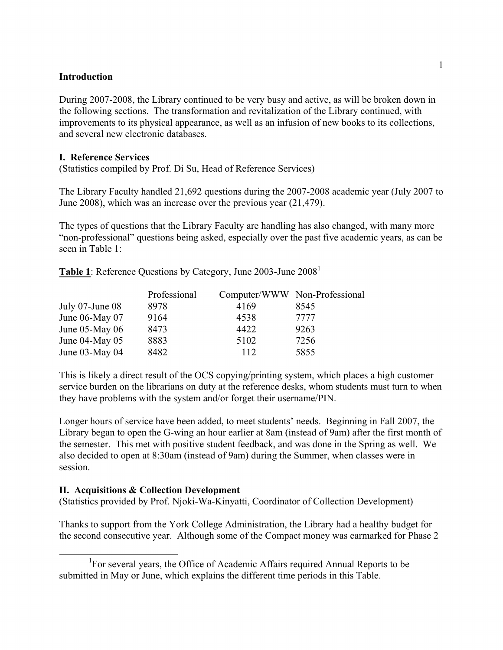### **Introduction**

During 2007-2008, the Library continued to be very busy and active, as will be broken down in the following sections. The transformation and revitalization of the Library continued, with improvements to its physical appearance, as well as an infusion of new books to its collections, and several new electronic databases.

#### **I. Reference Services**

(Statistics compiled by Prof. Di Su, Head of Reference Services)

The Library Faculty handled 21,692 questions during the 2007-2008 academic year (July 2007 to June 2008), which was an increase over the previous year (21,479).

The types of questions that the Library Faculty are handling has also changed, with many more "non-professional" questions being asked, especially over the past five academic years, as can be seen in Table 1:

**Table 1**: Reference Questions by Category, June 2003-June 2008<sup>1</sup>

|                      | Professional |      | Computer/WWW Non-Professional |
|----------------------|--------------|------|-------------------------------|
| July $07$ -June $08$ | 8978         | 4169 | 8545                          |
| June $06$ -May $07$  | 9164         | 4538 | 7777                          |
| June $05$ -May $06$  | 8473         | 4422 | 9263                          |
| June $04$ -May $05$  | 8883         | 5102 | 7256                          |
| June $03$ -May $04$  | 8482         | 112  | 5855                          |

This is likely a direct result of the OCS copying/printing system, which places a high customer service burden on the librarians on duty at the reference desks, whom students must turn to when they have problems with the system and/or forget their username/PIN.

Longer hours of service have been added, to meet students' needs. Beginning in Fall 2007, the Library began to open the G-wing an hour earlier at 8am (instead of 9am) after the first month of the semester. This met with positive student feedback, and was done in the Spring as well. We also decided to open at 8:30am (instead of 9am) during the Summer, when classes were in session.

#### **II. Acquisitions & Collection Development**

(Statistics provided by Prof. Njoki-Wa-Kinyatti, Coordinator of Collection Development)

Thanks to support from the York College Administration, the Library had a healthy budget for the second consecutive year. Although some of the Compact money was earmarked for Phase 2

<sup>&</sup>lt;sup>1</sup>For several years, the Office of Academic Affairs required Annual Reports to be submitted in May or June, which explains the different time periods in this Table.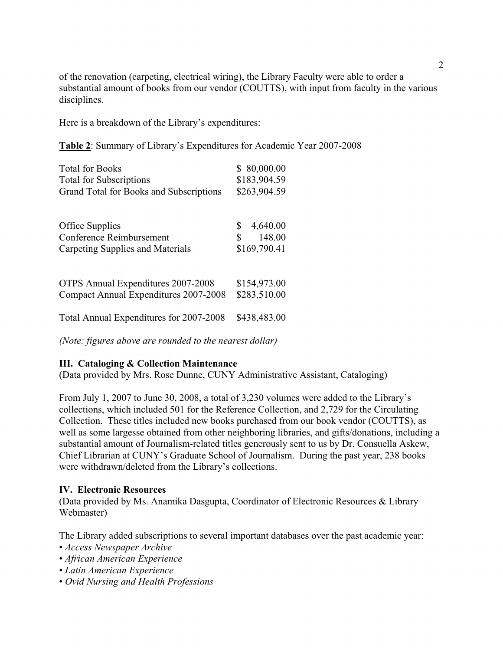of the renovation (carpeting, electrical wiring), the Library Faculty were able to order a substantial amount of books from our vendor (COUTTS), with input from faculty in the various disciplines.

Here is a breakdown of the Library's expenditures:

**Table 2**: Summary of Library's Expenditures for Academic Year 2007-2008

| <b>Total for Books</b>                                                                 | \$80,000.00                                    |  |
|----------------------------------------------------------------------------------------|------------------------------------------------|--|
| <b>Total for Subscriptions</b>                                                         | \$183,904.59                                   |  |
| Grand Total for Books and Subscriptions                                                | \$263,904.59                                   |  |
| <b>Office Supplies</b><br>Conference Reimbursement<br>Carpeting Supplies and Materials | 4,640.00<br>\$<br>148.00<br>\$<br>\$169,790.41 |  |
| OTPS Annual Expenditures 2007-2008                                                     | \$154,973.00                                   |  |
| Compact Annual Expenditures 2007-2008                                                  | \$283,510.00                                   |  |
| Total Annual Expenditures for 2007-2008                                                | \$438,483.00                                   |  |

*(Note: figures above are rounded to the nearest dollar)* 

## **III. Cataloging & Collection Maintenance**

(Data provided by Mrs. Rose Dunne, CUNY Administrative Assistant, Cataloging)

From July 1, 2007 to June 30, 2008, a total of 3,230 volumes were added to the Library's collections, which included 501 for the Reference Collection, and 2,729 for the Circulating Collection. These titles included new books purchased from our book vendor (COUTTS), as well as some largesse obtained from other neighboring libraries, and gifts/donations, including a substantial amount of Journalism-related titles generously sent to us by Dr. Consuella Askew, Chief Librarian at CUNY's Graduate School of Journalism. During the past year, 238 books were withdrawn/deleted from the Library's collections.

#### **IV. Electronic Resources**

(Data provided by Ms. Anamika Dasgupta, Coordinator of Electronic Resources & Library Webmaster)

The Library added subscriptions to several important databases over the past academic year:

- *Access Newspaper Archive*
- *African American Experience*
- *Latin American Experience*
- *Ovid Nursing and Health Professions*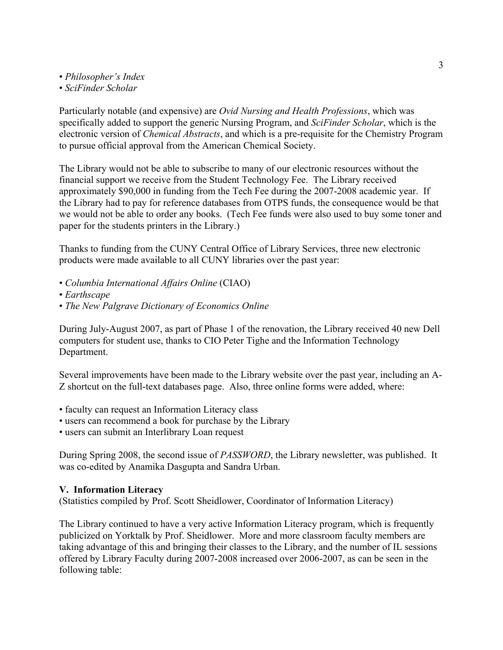- *Philosopher's Index*
- *SciFinder Scholar*

Particularly notable (and expensive) are *Ovid Nursing and Health Professions*, which was specifically added to support the generic Nursing Program, and *SciFinder Scholar*, which is the electronic version of *Chemical Abstracts*, and which is a pre-requisite for the Chemistry Program to pursue official approval from the American Chemical Society.

The Library would not be able to subscribe to many of our electronic resources without the financial support we receive from the Student Technology Fee. The Library received approximately \$90,000 in funding from the Tech Fee during the 2007-2008 academic year. If the Library had to pay for reference databases from OTPS funds, the consequence would be that we would not be able to order any books. (Tech Fee funds were also used to buy some toner and paper for the students printers in the Library.)

Thanks to funding from the CUNY Central Office of Library Services, three new electronic products were made available to all CUNY libraries over the past year:

- *Columbia International Affairs Online* (CIAO)
- *Earthscape*
- *The New Palgrave Dictionary of Economics Online*

During July-August 2007, as part of Phase 1 of the renovation, the Library received 40 new Dell computers for student use, thanks to CIO Peter Tighe and the Information Technology Department.

Several improvements have been made to the Library website over the past year, including an A-Z shortcut on the full-text databases page. Also, three online forms were added, where:

- faculty can request an Information Literacy class
- users can recommend a book for purchase by the Library
- users can submit an Interlibrary Loan request

During Spring 2008, the second issue of *PASSWORD*, the Library newsletter, was published. It was co-edited by Anamika Dasgupta and Sandra Urban.

## **V. Information Literacy**

(Statistics compiled by Prof. Scott Sheidlower, Coordinator of Information Literacy)

The Library continued to have a very active Information Literacy program, which is frequently publicized on Yorktalk by Prof. Sheidlower. More and more classroom faculty members are taking advantage of this and bringing their classes to the Library, and the number of IL sessions offered by Library Faculty during 2007-2008 increased over 2006-2007, as can be seen in the following table: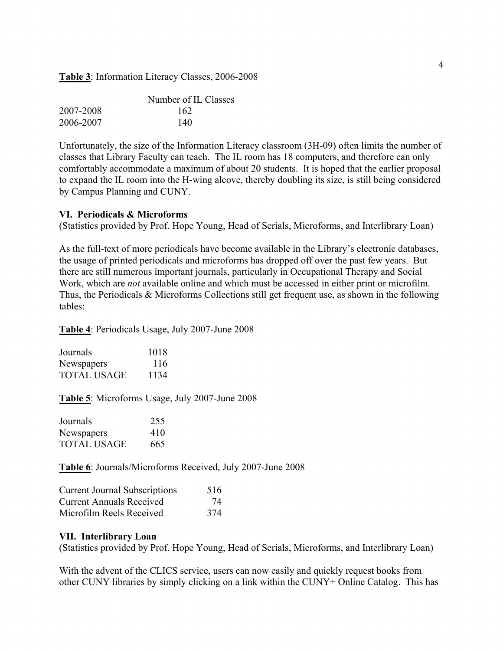#### **Table 3**: Information Literacy Classes, 2006-2008

|           | Number of IL Classes |
|-----------|----------------------|
| 2007-2008 | 162                  |
| 2006-2007 | 140                  |

Unfortunately, the size of the Information Literacy classroom (3H-09) often limits the number of classes that Library Faculty can teach. The IL room has 18 computers, and therefore can only comfortably accommodate a maximum of about 20 students. It is hoped that the earlier proposal to expand the IL room into the H-wing alcove, thereby doubling its size, is still being considered by Campus Planning and CUNY.

#### **VI. Periodicals & Microforms**

(Statistics provided by Prof. Hope Young, Head of Serials, Microforms, and Interlibrary Loan)

As the full-text of more periodicals have become available in the Library's electronic databases, the usage of printed periodicals and microforms has dropped off over the past few years. But there are still numerous important journals, particularly in Occupational Therapy and Social Work, which are *not* available online and which must be accessed in either print or microfilm. Thus, the Periodicals & Microforms Collections still get frequent use, as shown in the following tables:

**Table 4**: Periodicals Usage, July 2007-June 2008

| Journals           | 1018 |
|--------------------|------|
| Newspapers         | 116  |
| <b>TOTAL USAGE</b> | 1134 |

**Table 5**: Microforms Usage, July 2007-June 2008

| Journals    | 255 |
|-------------|-----|
| Newspapers  | 410 |
| TOTAL USAGE | 665 |

**Table 6**: Journals/Microforms Received, July 2007-June 2008

| <b>Current Journal Subscriptions</b> | 516 |
|--------------------------------------|-----|
| <b>Current Annuals Received</b>      | 74  |
| Microfilm Reels Received             | 374 |

#### **VII. Interlibrary Loan**

(Statistics provided by Prof. Hope Young, Head of Serials, Microforms, and Interlibrary Loan)

With the advent of the CLICS service, users can now easily and quickly request books from other CUNY libraries by simply clicking on a link within the CUNY+ Online Catalog. This has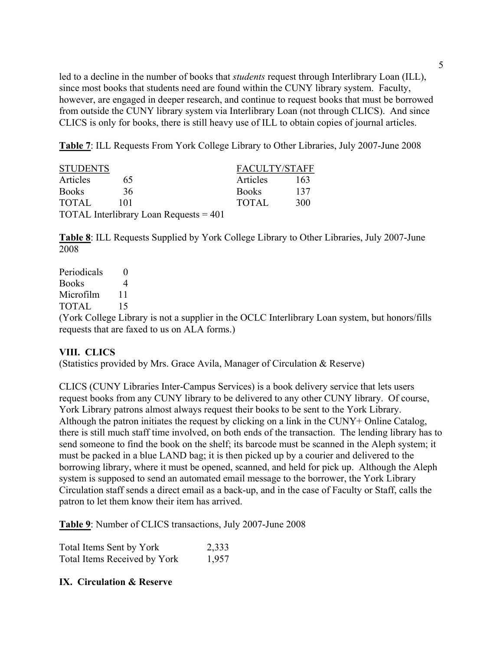led to a decline in the number of books that *students* request through Interlibrary Loan (ILL), since most books that students need are found within the CUNY library system. Faculty, however, are engaged in deeper research, and continue to request books that must be borrowed from outside the CUNY library system via Interlibrary Loan (not through CLICS). And since CLICS is only for books, there is still heavy use of ILL to obtain copies of journal articles.

**Table 7**: ILL Requests From York College Library to Other Libraries, July 2007-June 2008

| <b>STUDENTS</b> |     |                                          | <b>FACULTY/STAFF</b> |     |
|-----------------|-----|------------------------------------------|----------------------|-----|
| Articles        | 65  |                                          | Articles             | 163 |
| <b>Books</b>    | 36  |                                          | <b>Books</b>         | 137 |
| <b>TOTAL</b>    | 101 |                                          | <b>TOTAL</b>         | 300 |
|                 |     | TOTAL Interlibrary Loan Requests $= 401$ |                      |     |

**Table 8**: ILL Requests Supplied by York College Library to Other Libraries, July 2007-June 2008

| Periodicals  |                                                                                                |
|--------------|------------------------------------------------------------------------------------------------|
| <b>Books</b> |                                                                                                |
| Microfilm    |                                                                                                |
| TOTAL.       |                                                                                                |
|              | (York College Library is not a supplier in the OCLC Interlibrary Loan system, but honors/fills |
|              | requests that are faxed to us on ALA forms.)                                                   |

## **VIII. CLICS**

(Statistics provided by Mrs. Grace Avila, Manager of Circulation & Reserve)

CLICS (CUNY Libraries Inter-Campus Services) is a book delivery service that lets users request books from any CUNY library to be delivered to any other CUNY library. Of course, York Library patrons almost always request their books to be sent to the York Library. Although the patron initiates the request by clicking on a link in the CUNY+ Online Catalog, there is still much staff time involved, on both ends of the transaction. The lending library has to send someone to find the book on the shelf; its barcode must be scanned in the Aleph system; it must be packed in a blue LAND bag; it is then picked up by a courier and delivered to the borrowing library, where it must be opened, scanned, and held for pick up. Although the Aleph system is supposed to send an automated email message to the borrower, the York Library Circulation staff sends a direct email as a back-up, and in the case of Faculty or Staff, calls the patron to let them know their item has arrived.

**Table 9**: Number of CLICS transactions, July 2007-June 2008

Total Items Sent by York 2,333 Total Items Received by York 1,957

## **IX. Circulation & Reserve**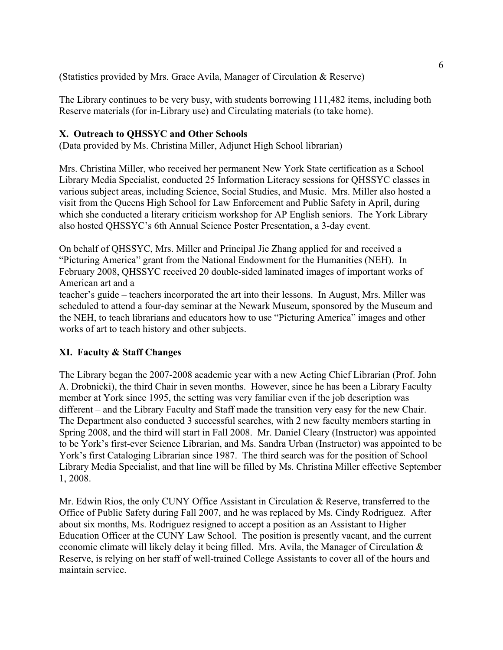(Statistics provided by Mrs. Grace Avila, Manager of Circulation & Reserve)

The Library continues to be very busy, with students borrowing 111,482 items, including both Reserve materials (for in-Library use) and Circulating materials (to take home).

## **X. Outreach to QHSSYC and Other Schools**

(Data provided by Ms. Christina Miller, Adjunct High School librarian)

Mrs. Christina Miller, who received her permanent New York State certification as a School Library Media Specialist, conducted 25 Information Literacy sessions for QHSSYC classes in various subject areas, including Science, Social Studies, and Music. Mrs. Miller also hosted a visit from the Queens High School for Law Enforcement and Public Safety in April, during which she conducted a literary criticism workshop for AP English seniors. The York Library also hosted QHSSYC's 6th Annual Science Poster Presentation, a 3-day event.

On behalf of QHSSYC, Mrs. Miller and Principal Jie Zhang applied for and received a "Picturing America" grant from the National Endowment for the Humanities (NEH). In February 2008, QHSSYC received 20 double-sided laminated images of important works of American art and a

teacher's guide – teachers incorporated the art into their lessons. In August, Mrs. Miller was scheduled to attend a four-day seminar at the Newark Museum, sponsored by the Museum and the NEH, to teach librarians and educators how to use "Picturing America" images and other works of art to teach history and other subjects.

## **XI. Faculty & Staff Changes**

The Library began the 2007-2008 academic year with a new Acting Chief Librarian (Prof. John A. Drobnicki), the third Chair in seven months. However, since he has been a Library Faculty member at York since 1995, the setting was very familiar even if the job description was different – and the Library Faculty and Staff made the transition very easy for the new Chair. The Department also conducted 3 successful searches, with 2 new faculty members starting in Spring 2008, and the third will start in Fall 2008. Mr. Daniel Cleary (Instructor) was appointed to be York's first-ever Science Librarian, and Ms. Sandra Urban (Instructor) was appointed to be York's first Cataloging Librarian since 1987. The third search was for the position of School Library Media Specialist, and that line will be filled by Ms. Christina Miller effective September 1, 2008.

Mr. Edwin Rios, the only CUNY Office Assistant in Circulation & Reserve, transferred to the Office of Public Safety during Fall 2007, and he was replaced by Ms. Cindy Rodriguez. After about six months, Ms. Rodriguez resigned to accept a position as an Assistant to Higher Education Officer at the CUNY Law School. The position is presently vacant, and the current economic climate will likely delay it being filled. Mrs. Avila, the Manager of Circulation & Reserve, is relying on her staff of well-trained College Assistants to cover all of the hours and maintain service.